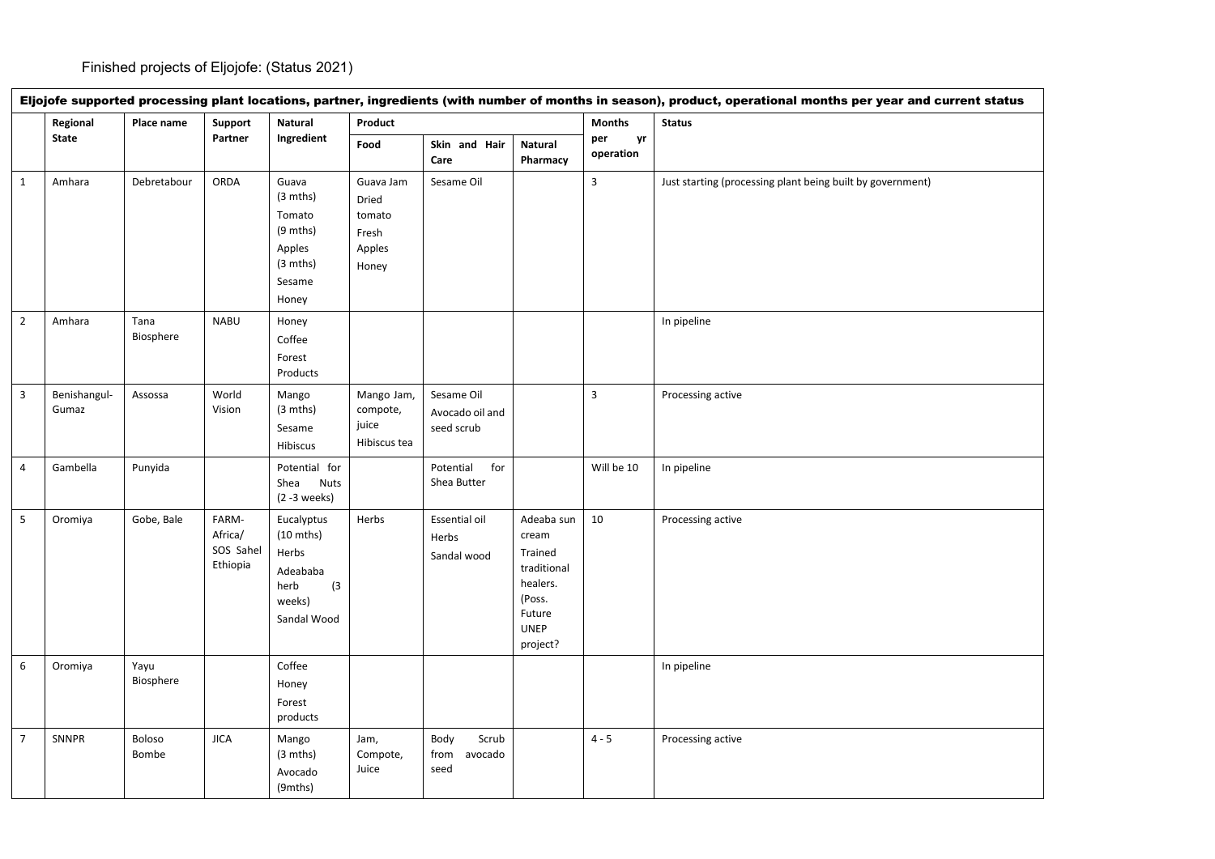|                         | Eljojofe supported processing plant locations, partner, ingredients (with number of months in season), product, operational months per year and current status |                   |                                           |                                                                                                |                                                          |                                             |                                                                                                          |                         |                                                            |  |  |
|-------------------------|----------------------------------------------------------------------------------------------------------------------------------------------------------------|-------------------|-------------------------------------------|------------------------------------------------------------------------------------------------|----------------------------------------------------------|---------------------------------------------|----------------------------------------------------------------------------------------------------------|-------------------------|------------------------------------------------------------|--|--|
|                         | Regional<br><b>State</b>                                                                                                                                       | Place name        | Support<br>Partner                        | Natural<br>Ingredient                                                                          | Product                                                  |                                             |                                                                                                          | <b>Months</b>           | <b>Status</b>                                              |  |  |
|                         |                                                                                                                                                                |                   |                                           |                                                                                                | Food                                                     | Skin and Hair<br>Care                       | Natural<br>Pharmacy                                                                                      | per<br>yr<br>operation  |                                                            |  |  |
| $\mathbf{1}$            | Amhara                                                                                                                                                         | Debretabour       | ORDA                                      | Guava<br>$(3 \text{ mths})$<br>Tomato<br>(9 mths)<br>Apples<br>(3 mths)<br>Sesame<br>Honey     | Guava Jam<br>Dried<br>tomato<br>Fresh<br>Apples<br>Honey | Sesame Oil                                  |                                                                                                          | $\overline{\mathbf{3}}$ | Just starting (processing plant being built by government) |  |  |
| $\overline{2}$          | Amhara                                                                                                                                                         | Tana<br>Biosphere | <b>NABU</b>                               | Honey<br>Coffee<br>Forest<br>Products                                                          |                                                          |                                             |                                                                                                          |                         | In pipeline                                                |  |  |
| $\overline{\mathbf{3}}$ | Benishangul-<br>Gumaz                                                                                                                                          | Assossa           | World<br>Vision                           | Mango<br>(3 mths)<br>Sesame<br>Hibiscus                                                        | Mango Jam,<br>compote,<br>juice<br>Hibiscus tea          | Sesame Oil<br>Avocado oil and<br>seed scrub |                                                                                                          | $\overline{3}$          | Processing active                                          |  |  |
| $\overline{4}$          | Gambella                                                                                                                                                       | Punyida           |                                           | Potential for<br><b>Nuts</b><br>Shea<br>$(2 - 3$ weeks)                                        |                                                          | Potential<br>for<br>Shea Butter             |                                                                                                          | Will be 10              | In pipeline                                                |  |  |
| $5\phantom{.0}$         | Oromiya                                                                                                                                                        | Gobe, Bale        | FARM-<br>Africa/<br>SOS Sahel<br>Ethiopia | Eucalyptus<br>$(10 \text{ mths})$<br>Herbs<br>Adeababa<br>herb<br>(3)<br>weeks)<br>Sandal Wood | Herbs                                                    | Essential oil<br>Herbs<br>Sandal wood       | Adeaba sun<br>cream<br>Trained<br>traditional<br>healers.<br>(Poss.<br>Future<br><b>UNEP</b><br>project? | $10\,$                  | Processing active                                          |  |  |
| 6                       | Oromiya                                                                                                                                                        | Yayu<br>Biosphere |                                           | Coffee<br>Honey<br>Forest<br>products                                                          |                                                          |                                             |                                                                                                          |                         | In pipeline                                                |  |  |
| $\overline{7}$          | SNNPR                                                                                                                                                          | Boloso<br>Bombe   | <b>JICA</b>                               | Mango<br>$(3 \text{ mths})$<br>Avocado<br>(9mths)                                              | Jam,<br>Compote,<br>Juice                                | Scrub<br>Body<br>from<br>avocado<br>seed    |                                                                                                          | $4 - 5$                 | Processing active                                          |  |  |